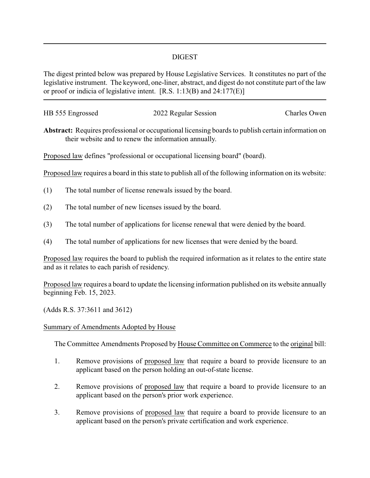## DIGEST

The digest printed below was prepared by House Legislative Services. It constitutes no part of the legislative instrument. The keyword, one-liner, abstract, and digest do not constitute part of the law or proof or indicia of legislative intent. [R.S. 1:13(B) and 24:177(E)]

| HB 555 Engrossed | 2022 Regular Session | Charles Owen |
|------------------|----------------------|--------------|
|                  |                      |              |

**Abstract:** Requires professional or occupational licensing boards to publish certain information on their website and to renew the information annually.

Proposed law defines "professional or occupational licensing board" (board).

Proposed law requires a board in this state to publish all of the following information on its website:

- (1) The total number of license renewals issued by the board.
- (2) The total number of new licenses issued by the board.
- (3) The total number of applications for license renewal that were denied by the board.
- (4) The total number of applications for new licenses that were denied by the board.

Proposed law requires the board to publish the required information as it relates to the entire state and as it relates to each parish of residency.

Proposed law requires a board to update the licensing information published on its website annually beginning Feb. 15, 2023.

(Adds R.S. 37:3611 and 3612)

## Summary of Amendments Adopted by House

The Committee Amendments Proposed by House Committee on Commerce to the original bill:

- 1. Remove provisions of proposed law that require a board to provide licensure to an applicant based on the person holding an out-of-state license.
- 2. Remove provisions of proposed law that require a board to provide licensure to an applicant based on the person's prior work experience.
- 3. Remove provisions of proposed law that require a board to provide licensure to an applicant based on the person's private certification and work experience.